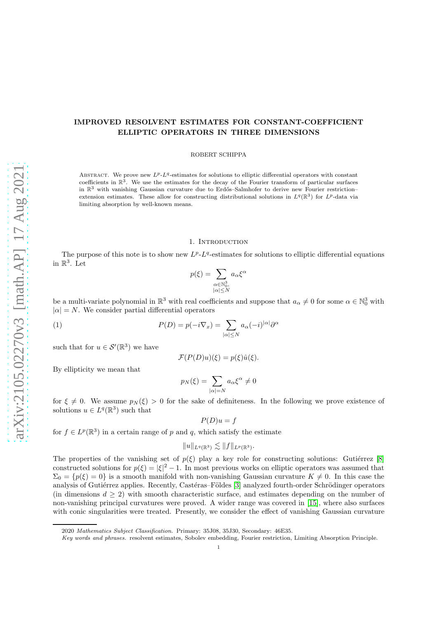# IMPROVED RESOLVENT ESTIMATES FOR CONSTANT-COEFFICIENT ELLIPTIC OPERATORS IN THREE DIMENSIONS

ROBERT SCHIPPA

ABSTRACT. We prove new  $L^p L^q$ -estimates for solutions to elliptic differential operators with constant coefficients in  $\mathbb{R}^3$ . We use the estimates for the decay of the Fourier transform of particular surfaces in  $\mathbb{R}^3$  with vanishing Gaussian curvature due to Erdős–Salmhofer to derive new Fourier restriction– extension estimates. These allow for constructing distributional solutions in  $L^q(\mathbb{R}^3)$  for  $L^p$ -data via limiting absorption by well-known means.

## 1. INTRODUCTION

The purpose of this note is to show new  $L^{p}$ - $L^{q}$ -estimates for solutions to elliptic differential equations in  $\mathbb{R}^3$ . Let

$$
p(\xi) = \sum_{\substack{\alpha \in \mathbb{N}_0^3, \\ |\alpha| \le N}} a_{\alpha} \xi^{\alpha}
$$

be a multi-variate polynomial in  $\mathbb{R}^3$  with real coefficients and suppose that  $a_\alpha \neq 0$  for some  $\alpha \in \mathbb{N}_0^3$  with  $|\alpha| = N$ . We consider partial differential operators

(1) 
$$
P(D) = p(-i\nabla_x) = \sum_{|\alpha| \le N} a_{\alpha}(-i)^{|\alpha|} \partial^{\alpha}
$$

such that for  $u \in \mathcal{S}'(\mathbb{R}^3)$  we have

$$
\mathcal{F}(P(D)u)(\xi) = p(\xi)\hat{u}(\xi).
$$

By ellipticity we mean that

$$
p_N(\xi) = \sum_{|\alpha|=N} a_{\alpha} \xi^{\alpha} \neq 0
$$

for  $\xi \neq 0$ . We assume  $p_N(\xi) > 0$  for the sake of definiteness. In the following we prove existence of solutions  $u \in L^q(\mathbb{R}^3)$  such that

$$
P(D)u = f
$$

for  $f \in L^p(\mathbb{R}^3)$  in a certain range of p and q, which satisfy the estimate

$$
||u||_{L^q(\mathbb{R}^3)} \lesssim ||f||_{L^p(\mathbb{R}^3)}.
$$

The properties of the vanishing set of  $p(\xi)$  play a key role for constructing solutions: Gutiérrez [\[8\]](#page-7-0) constructed solutions for  $p(\xi) = |\xi|^2 - 1$ . In most previous works on elliptic operators was assumed that  $\Sigma_0 = \{p(\xi) = 0\}$  is a smooth manifold with non-vanishing Gaussian curvature  $K \neq 0$ . In this case the analysis of Gutiérrez applies. Recently, Castéras–Földes [\[3\]](#page-7-1) analyzed fourth-order Schrödinger operators (in dimensions  $d \geq 2$ ) with smooth characteristic surface, and estimates depending on the number of non-vanishing principal curvatures were proved. A wider range was covered in [\[15\]](#page-7-2), where also surfaces with conic singularities were treated. Presently, we consider the effect of vanishing Gaussian curvature

<sup>2020</sup> *Mathematics Subject Classification.* Primary: 35J08, 35J30, Secondary: 46E35.

*Key words and phrases.* resolvent estimates, Sobolev embedding, Fourier restriction, Limiting Absorption Principle.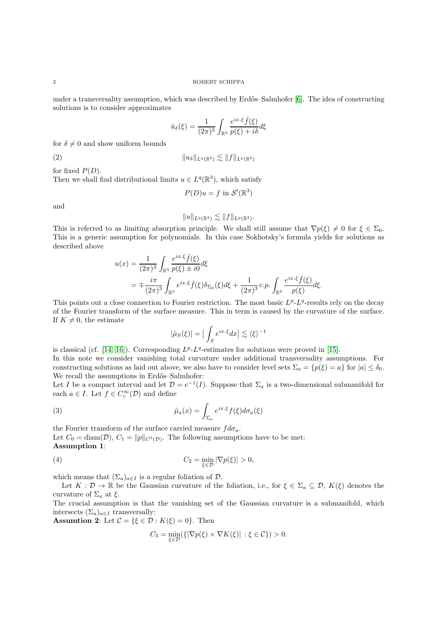under a transversality assumption, which was described by Erdős–Salmhofer [\[6\]](#page-7-3). The idea of constructing solutions is to consider approximates

$$
\hat{u}_{\delta}(\xi) = \frac{1}{(2\pi)^3} \int_{\mathbb{R}^3} \frac{e^{ix.\xi} \hat{f}(\xi)}{p(\xi) + i\delta} d\xi
$$

for  $\delta \neq 0$  and show uniform bounds

(2) kuδkLq(R3) . kfkLp(R3)

for fixed  $P(D)$ .

Then we shall find distributional limits  $u \in L^q(\mathbb{R}^3)$ , which satisfy

$$
P(D)u = f \text{ in } \mathcal{S}'(\mathbb{R}^3)
$$

and

$$
||u||_{L^q(\mathbb{R}^3)} \lesssim ||f||_{L^p(\mathbb{R}^3)}.
$$

This is referred to as limiting absorption principle. We shall still assume that  $\nabla p(\xi) \neq 0$  for  $\xi \in \Sigma_0$ . This is a generic assumption for polynomials. In this case Sokhotsky's formula yields for solutions as described above

$$
u(x) = \frac{1}{(2\pi)^3} \int_{\mathbb{R}^3} \frac{e^{ix.\xi} \hat{f}(\xi)}{p(\xi) \pm i0} d\xi
$$
  
= 
$$
\mp \frac{i\pi}{(2\pi)^3} \int_{\mathbb{R}^3} e^{ix.\xi} \hat{f}(\xi) \delta_{\Sigma_0}(\xi) d\xi + \frac{1}{(2\pi)^3} v.p. \int_{\mathbb{R}^3} \frac{e^{ix.\xi} \hat{f}(\xi)}{p(\xi)} d\xi.
$$

This points out a close connection to Fourier restriction. The most basic  $L^p$ - $L^q$ -results rely on the decay of the Fourier transform of the surface measure. This in term is caused by the curvature of the surface. If  $K \neq 0$ , the estimate

$$
|\hat{\mu}_S(\xi)| = \big|\int_S e^{ix.\xi} dx\big| \lesssim \langle \xi \rangle^{-1}
$$

is classical (cf. [\[14,](#page-7-4) [16\]](#page-7-5)). Corresponding  $L^p-L^q$ -estimates for solutions were proved in [\[15\]](#page-7-2). In this note we consider vanishing total curvature under additional transversality assumptions. For constructing solutions as laid out above, we also have to consider level sets  $\Sigma_a = \{p(\xi) = a\}$  for  $|a| \leq \delta_0$ . We recall the assumptions in Erdős–Salmhofer:

Let I be a compact interval and let  $\mathcal{D} = e^{-1}(I)$ . Suppose that  $\Sigma_a$  is a two-dimensional submanifold for each  $a \in I$ . Let  $f \in C_c^{\infty}(\mathcal{D})$  and define

(3) 
$$
\hat{\mu}_a(x) = \int_{\Sigma_a} e^{ix.\xi} f(\xi) d\sigma_a(\xi)
$$

the Fourier transform of the surface carried measure  $fd\sigma_a$ . Let  $C_0 = \text{diam}(\mathcal{D}), C_1 = ||p||_{C^5(\mathcal{D})}.$  The following assumptions have to be met: Assumption 1:

(4) 
$$
C_2 = \min_{\xi \in \mathcal{D}} |\nabla p(\xi)| > 0,
$$

which means that  $(\Sigma_a)_{a \in I}$  is a regular foliation of  $\mathcal{D}$ .

Let  $K: \mathcal{D} \to \mathbb{R}$  be the Gaussian curvature of the foliation, i.e., for  $\xi \in \Sigma_a \subseteq \mathcal{D}$ ,  $K(\xi)$  denotes the curvature of  $\Sigma_a$  at  $\xi$ .

The crucial assumption is that the vanishing set of the Gaussian curvature is a submanifold, which intersects  $(\Sigma_a)_{a \in I}$  transversally:

**Assumtion 2:** Let  $\mathcal{C} = \{\xi \in \mathcal{D} : K(\xi) = 0\}$ . Then

$$
C_3 = \min_{\xi \in \mathcal{D}} (\{ |\nabla p(\xi) \times \nabla K(\xi) | : \xi \in \mathcal{C} \}) > 0.
$$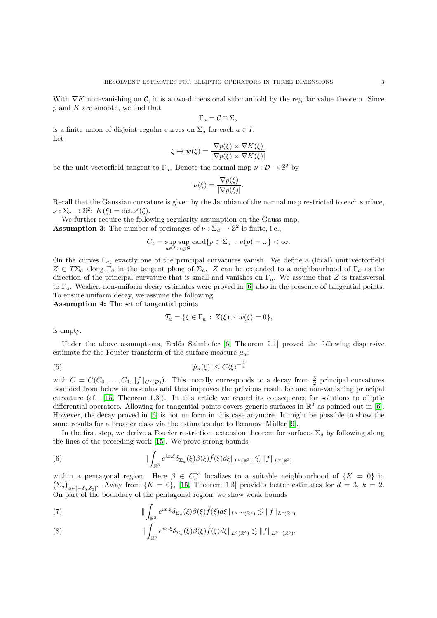With  $\nabla K$  non-vanishing on C, it is a two-dimensional submanifold by the regular value theorem. Since  $p$  and  $K$  are smooth, we find that

$$
\Gamma_a = \mathcal{C} \cap \Sigma_a
$$

is a finite union of disjoint regular curves on  $\Sigma_a$  for each  $a \in I$ . Let

$$
\xi \mapsto w(\xi) = \frac{\nabla p(\xi) \times \nabla K(\xi)}{|\nabla p(\xi) \times \nabla K(\xi)|}
$$

be the unit vectorfield tangent to  $\Gamma_a$ . Denote the normal map  $\nu : \mathcal{D} \to \mathbb{S}^2$  by

$$
\nu(\xi) = \frac{\nabla p(\xi)}{|\nabla p(\xi)|}.
$$

Recall that the Gaussian curvature is given by the Jacobian of the normal map restricted to each surface,  $\nu : \Sigma_a \to \mathbb{S}^2$ :  $K(\xi) = \det \nu'(\xi)$ .

We further require the following regularity assumption on the Gauss map. **Assumption 3:** The number of preimages of  $\nu : \Sigma_a \to \mathbb{S}^2$  is finite, i.e.,

$$
C_4 = \sup_{a \in I} \sup_{\omega \in \mathbb{S}^2} \text{card}\{p \in \Sigma_a : \nu(p) = \omega\} < \infty.
$$

On the curves  $\Gamma_a$ , exactly one of the principal curvatures vanish. We define a (local) unit vectorfield  $Z \in T\Sigma_a$  along  $\Gamma_a$  in the tangent plane of  $\Sigma_a$ . Z can be extended to a neighbourhood of  $\Gamma_a$  as the direction of the principal curvature that is small and vanishes on  $\Gamma_a$ . We assume that Z is transversal to  $\Gamma_a$ . Weaker, non-uniform decay estimates were proved in [\[6\]](#page-7-3) also in the presence of tangential points. To ensure uniform decay, we assume the following:

Assumption 4: The set of tangential points

<span id="page-2-3"></span>
$$
\mathcal{T}_a = \{ \xi \in \Gamma_a : Z(\xi) \times w(\xi) = 0 \},
$$

is empty.

Under the above assumptions, Erdős–Salmhofer [\[6,](#page-7-3) Theorem 2.1] proved the following dispersive estimate for the Fourier transform of the surface measure  $\mu_a$ :

$$
|\hat{\mu}_a(\xi)| \le C \langle \xi \rangle^{-\frac{3}{4}}
$$

with  $C = C(C_0, \ldots, C_4, ||f||_{C^2(\mathcal{D})})$ . This morally corresponds to a decay from  $\frac{3}{2}$  principal curvatures bounded from below in modulus and thus improves the previous result for one non-vanishing principal curvature (cf. [\[15,](#page-7-2) Theorem 1.3]). In this article we record its consequence for solutions to elliptic differential operators. Allowing for tangential points covers generic surfaces in  $\mathbb{R}^3$  as pointed out in [\[6\]](#page-7-3). However, the decay proved in [\[6\]](#page-7-3) is not uniform in this case anymore. It might be possible to show the same results for a broader class via the estimates due to Ikromov–Müller [\[9\]](#page-7-6).

In the first step, we derive a Fourier restriction–extension theorem for surfaces  $\Sigma_a$  by following along the lines of the preceding work [\[15\]](#page-7-2). We prove strong bounds

<span id="page-2-0"></span>(6) 
$$
\|\int_{\mathbb{R}^3} e^{ix.\xi} \delta_{\Sigma_a}(\xi) \beta(\xi) \widehat{f}(\xi) d\xi\|_{L^q(\mathbb{R}^3)} \lesssim \|f\|_{L^p(\mathbb{R}^3)}
$$

within a pentagonal region. Here  $\beta \in C_c^{\infty}$  localizes to a suitable neighbourhood of  $\{K = 0\}$  in  $(\Sigma_a)_{a \in [-\delta_0,\delta_0]}$ . Away from  $\{K = 0\}$ , [\[15,](#page-7-2) Theorem 1.3] provides better estimates for  $d = 3$ ,  $k = 2$ . On part of the boundary of the pentagonal region, we show weak bounds

<span id="page-2-1"></span>(7) 
$$
\|\int_{\mathbb{R}^3} e^{ix.\xi} \delta_{\Sigma_a}(\xi) \beta(\xi) \widehat{f}(\xi) d\xi\|_{L^{q,\infty}(\mathbb{R}^3)} \lesssim \|f\|_{L^p(\mathbb{R}^3)}
$$

<span id="page-2-2"></span>(8) 
$$
\| \int_{\mathbb{R}^3} e^{ix.\xi} \delta_{\Sigma_a}(\xi) \beta(\xi) \widehat{f}(\xi) d\xi \|_{L^q(\mathbb{R}^3)} \lesssim \|f\|_{L^{p,1}(\mathbb{R}^3)},
$$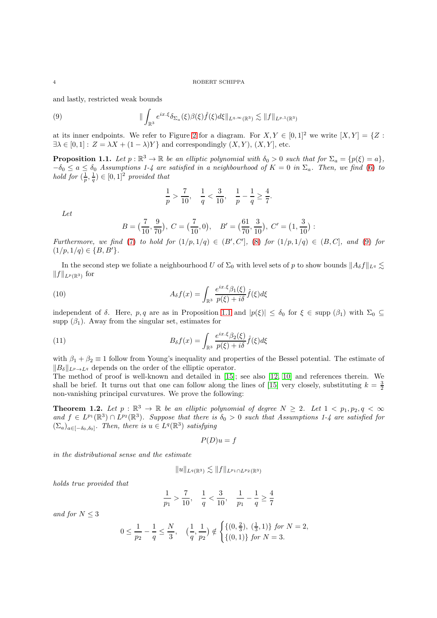and lastly, restricted weak bounds

(9) 
$$
\| \int_{\mathbb{R}^3} e^{ix.\xi} \delta_{\Sigma_a}(\xi) \beta(\xi) \hat{f}(\xi) d\xi \|_{L^{q,\infty}(\mathbb{R}^3)} \lesssim \|f\|_{L^{p,1}(\mathbb{R}^3)}
$$

at its inner endpoints. We refer to Figure [2](#page-5-0) for a diagram. For  $X, Y \in [0, 1]^2$  we write  $[X, Y] = \{Z :$  $\exists \lambda \in [0,1]: Z = \lambda X + (1-\lambda)Y\}$  and correspondingly  $(X, Y), (X, Y],$  etc.

<span id="page-3-1"></span>**Proposition 1.1.** Let  $p : \mathbb{R}^3 \to \mathbb{R}$  be an elliptic polynomial with  $\delta_0 > 0$  such that for  $\Sigma_a = \{p(\xi) = a\}$ ,  $-\delta_0 \le a \le \delta_0$  Assumptions 1-4 are satisfied in a neighbourhood of  $K = 0$  in  $\Sigma_a$ . Then, we find [\(6\)](#page-2-0) to hold for  $(\frac{1}{p}, \frac{1}{q}) \in [0, 1]^2$  provided that

<span id="page-3-0"></span>
$$
\frac{1}{p} > \frac{7}{10}, \quad \frac{1}{q} < \frac{3}{10}, \quad \frac{1}{p} - \frac{1}{q} \ge \frac{4}{7}.
$$

Let

<span id="page-3-3"></span>
$$
B = \left(\frac{7}{10}, \frac{9}{70}\right), \ C = \left(\frac{7}{10}, 0\right), \quad B' = \left(\frac{61}{70}, \frac{3}{10}\right), \ C' = \left(1, \frac{3}{10}\right):
$$

Furthermore, we find [\(7\)](#page-2-1) to hold for  $(1/p, 1/q) \in (B', C']$ , [\(8\)](#page-2-2) for  $(1/p, 1/q) \in (B, C]$ , and [\(9\)](#page-3-0) for  $(1/p, 1/q) \in \{B, B'\}.$ 

In the second step we foliate a neighbourhood U of  $\Sigma_0$  with level sets of p to show bounds  $||A_\delta f||_{L^q} \lesssim$  $||f||_{L^p(\mathbb{R}^3)}$  for

(10) 
$$
A_{\delta}f(x) = \int_{\mathbb{R}^3} \frac{e^{ix.\xi} \beta_1(\xi)}{p(\xi) + i\delta} \hat{f}(\xi) d\xi
$$

independent of  $\delta$ . Here, p, q are as in Proposition [1.1](#page-3-1) and  $|p(\xi)| \leq \delta_0$  for  $\xi \in \text{supp } (\beta_1)$  with  $\Sigma_0 \subseteq$ supp  $(\beta_1)$ . Away from the singular set, estimates for

(11) 
$$
B_{\delta}f(x) = \int_{\mathbb{R}^3} \frac{e^{ix.\xi} \beta_2(\xi)}{p(\xi) + i\delta} \hat{f}(\xi) d\xi
$$

with  $\beta_1 + \beta_2 \equiv 1$  follow from Young's inequality and properties of the Bessel potential. The estimate of  $||B_{\delta}||_{L^p \to L^q}$  depends on the order of the elliptic operator.

The method of proof is well-known and detailed in [\[15\]](#page-7-2); see also [\[12,](#page-7-7) [10\]](#page-7-8) and references therein. We shall be brief. It turns out that one can follow along the lines of [\[15\]](#page-7-2) very closely, substituting  $k = \frac{3}{2}$ non-vanishing principal curvatures. We prove the following:

<span id="page-3-2"></span>**Theorem 1.2.** Let  $p : \mathbb{R}^3 \to \mathbb{R}$  be an elliptic polynomial of degree  $N \geq 2$ . Let  $1 < p_1, p_2, q < \infty$ and  $f \in L^{p_1}(\mathbb{R}^3) \cap L^{p_2}(\mathbb{R}^3)$ . Suppose that there is  $\delta_0 > 0$  such that Assumptions 1-4 are satisfied for  $(\Sigma_a)_{a \in [-\delta_0,\delta_0]}$ . Then, there is  $u \in L^q(\mathbb{R}^3)$  satisfying

<span id="page-3-4"></span>
$$
P(D)u = f
$$

in the distributional sense and the estimate

$$
||u||_{L^{q}(\mathbb{R}^{3})} \lesssim ||f||_{L^{p_{1}} \cap L^{p_{2}}(\mathbb{R}^{3})}
$$

holds true provided that

$$
\frac{1}{p_1} > \frac{7}{10}, \quad \frac{1}{q} < \frac{3}{10}, \quad \frac{1}{p_1} - \frac{1}{q} \geq \frac{4}{7}
$$

and for  $N \leq 3$ 

$$
0 \le \frac{1}{p_2} - \frac{1}{q} \le \frac{N}{3}, \quad \left(\frac{1}{q}, \frac{1}{p_2}\right) \notin \begin{cases} \{(0, \frac{2}{3}), (\frac{1}{3}, 1)\} & \text{for } N = 2, \\ \{(0, 1)\} & \text{for } N = 3. \end{cases}
$$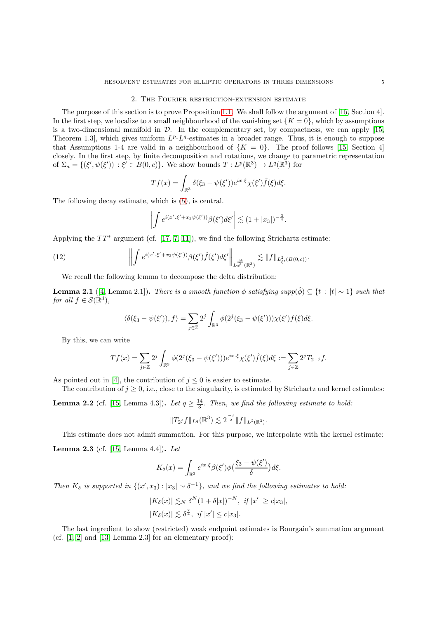## 2. The Fourier restriction-extension estimate

The purpose of this section is to prove Proposition [1.1.](#page-3-1) We shall follow the argument of [\[15,](#page-7-2) Section 4]. In the first step, we localize to a small neighbourhood of the vanishing set  $\{K = 0\}$ , which by assumptions is a two-dimensional manifold in  $\mathcal{D}$ . In the complementary set, by compactness, we can apply [\[15,](#page-7-2) Theorem 1.3, which gives uniform  $L^p L^q$ -estimates in a broader range. Thus, it is enough to suppose that Assumptions 1-4 are valid in a neighbourhood of  $\{K = 0\}$ . The proof follows [\[15,](#page-7-2) Section 4] closely. In the first step, by finite decomposition and rotations, we change to parametric representation of  $\Sigma_a = \{(\xi', \psi(\xi')) : \xi' \in B(0, c)\}\.$  We show bounds  $T: L^p(\mathbb{R}^3) \to L^q(\mathbb{R}^3)$  for

$$
Tf(x) = \int_{\mathbb{R}^3} \delta(\xi_3 - \psi(\xi')) e^{ix.\xi} \chi(\xi') \hat{f}(\xi) d\xi.
$$

The following decay estimate, which is [\(5\)](#page-2-3), is central.

$$
\left| \int e^{i(x'\cdot \xi' + x_3\psi(\xi'))} \beta(\xi') d\xi' \right| \lesssim (1+|x_3|)^{-\frac{3}{4}}.
$$

Applying the  $TT^*$  argument (cf. [\[17,](#page-7-9) [7,](#page-7-10) [11\]](#page-7-11)), we find the following Strichartz estimate:

(12) 
$$
\left\| \int e^{i(x'\cdot \xi' + x_3 \psi(\xi'))} \beta(\xi') \hat{f}(\xi') d\xi' \right\|_{L_x^{\frac{14}{3}}(\mathbb{R}^3)} \lesssim \|f\|_{L_{\xi'}^2(B(0,c))}.
$$

We recall the following lemma to decompose the delta distribution:

**Lemma 2.1** ([\[4,](#page-7-12) Lemma 2.1]). There is a smooth function  $\phi$  satisfying supp( $\hat{\phi}$ )  $\subseteq$  {t :  $|t| \sim 1$ } such that for all  $f \in \mathcal{S}(\mathbb{R}^d)$ ,

$$
\langle \delta(\xi_3 - \psi(\xi')), f \rangle = \sum_{j \in \mathbb{Z}} 2^j \int_{\mathbb{R}^3} \phi(2^j(\xi_3 - \psi(\xi')))\chi(\xi')f(\xi)d\xi.
$$

By this, we can write

$$
Tf(x) = \sum_{j \in \mathbb{Z}} 2^j \int_{\mathbb{R}^3} \phi(2^j(\xi_3 - \psi(\xi'))) e^{ix.\xi} \chi(\xi') \hat{f}(\xi) d\xi := \sum_{j \in \mathbb{Z}} 2^j T_{2^{-j}} f.
$$

As pointed out in [\[4\]](#page-7-12), the contribution of  $j \leq 0$  is easier to estimate.

The contribution of  $j \geq 0$ , i.e., close to the singularity, is estimated by Strichartz and kernel estimates:

**Lemma 2.2** (cf. [\[15,](#page-7-2) Lemma 4.3]). Let  $q \geq \frac{14}{3}$ . Then, we find the following estimate to hold:

$$
||T_{2^{j}}f||_{L^{q}}(\mathbb{R}^{3}) \lesssim 2^{\frac{-j}{2}}||f||_{L^{2}(\mathbb{R}^{3})}.
$$

This estimate does not admit summation. For this purpose, we interpolate with the kernel estimate: Lemma 2.3 (cf. [\[15,](#page-7-2) Lemma 4.4]). Let

$$
K_{\delta}(x) = \int_{\mathbb{R}^3} e^{ix.\xi} \beta(\xi') \phi\left(\frac{\xi_3 - \psi(\xi')}{\delta}\right) d\xi.
$$

Then  $K_{\delta}$  is supported in  $\{(x', x_3) : |x_3| \sim \delta^{-1}\}$ , and we find the following estimates to hold:

$$
|K_{\delta}(x)| \lesssim_{N} \delta^{N} (1+\delta|x|)^{-N}, \text{ if } |x'| \ge c|x_3|,
$$
  

$$
|K_{\delta}(x)| \lesssim \delta^{\frac{7}{4}}, \text{ if } |x'| \le c|x_3|.
$$

The last ingredient to show (restricted) weak endpoint estimates is Bourgain's summation argument (cf.  $[1, 2]$  $[1, 2]$  and  $[13, Lemma 2.3]$  for an elementary proof):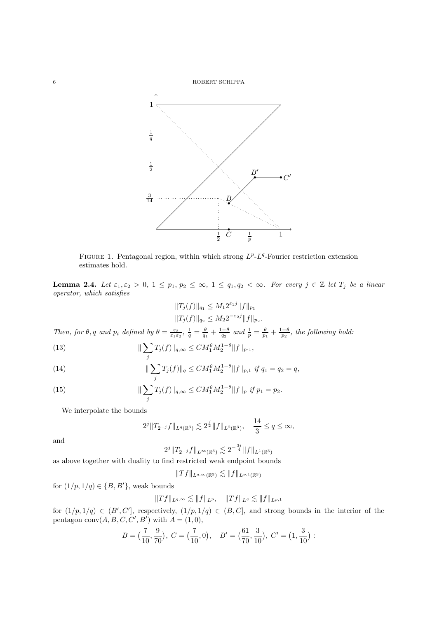

FIGURE 1. Pentagonal region, within which strong  $L^p$ - $L^q$ -Fourier restriction extension estimates hold.

**Lemma 2.4.** Let  $\varepsilon_1, \varepsilon_2 > 0$ ,  $1 \leq p_1, p_2 \leq \infty$ ,  $1 \leq q_1, q_2 < \infty$ . For every  $j \in \mathbb{Z}$  let  $T_j$  be a linear operator, which satisfies

$$
||T_j(f)||_{q_1} \le M_1 2^{\varepsilon_1 j} ||f||_{p_1}
$$
  

$$
||T_j(f)||_{q_2} \le M_2 2^{-\varepsilon_2 j} ||f||_{p_2}
$$

.

Then, for  $\theta$ , q and  $p_i$  defined by  $\theta = \frac{\varepsilon_2}{\varepsilon_1 \varepsilon_2}$ ,  $\frac{1}{q} = \frac{\theta}{q_1} + \frac{1-\theta}{q_2}$  and  $\frac{1}{p} = \frac{\theta}{p_1} + \frac{1-\theta}{p_2}$ , the following hold:

(13) 
$$
\|\sum_{j} T_{j}(f)\|_{q,\infty} \leq CM_{1}^{\theta} M_{2}^{1-\theta} \|f\|_{p.1},
$$

(14) 
$$
\|\sum_{j} T_{j}(f)\|_{q} \leq CM_{1}^{\theta} M_{2}^{1-\theta} \|f\|_{p,1} \text{ if } q_{1}=q_{2}=q,
$$

<span id="page-5-0"></span>(15) 
$$
\|\sum_{j} T_{j}(f)\|_{q,\infty} \leq CM_{1}^{\theta} M_{2}^{1-\theta} \|f\|_{p} \text{ if } p_{1}=p_{2}.
$$

We interpolate the bounds

$$
2^{j} \|T_{2^{-j}}f\|_{L^{q}(\mathbb{R}^{3})} \lesssim 2^{\frac{j}{2}} \|f\|_{L^{2}(\mathbb{R}^{3})}, \quad \frac{14}{3} \leq q \leq \infty,
$$

and

 $2^{j}\|T_{2^{-j}}f\|_{L^{\infty}(\mathbb{R}^{3})}\lesssim2^{-\frac{3j}{4}}\|f\|_{L^{1}(\mathbb{R}^{3})}$ 

as above together with duality to find restricted weak endpoint bounds

$$
||Tf||_{L^{q,\infty}(\mathbb{R}^3)} \lesssim ||f||_{L^{p,1}(\mathbb{R}^3)}
$$

for  $(1/p, 1/q) \in \{B, B'\}$ , weak bounds

$$
||Tf||_{L^{q,\infty}} \lesssim ||f||_{L^{p}}, \quad ||Tf||_{L^{q}} \lesssim ||f||_{L^{p,1}}
$$

for  $(1/p, 1/q) \in (B', C']$ , respectively,  $(1/p, 1/q) \in (B, C]$ , and strong bounds in the interior of the pentagon  $conv(A, B, C, C', B')$  with  $A = (1, 0),$ 

$$
B = \left(\frac{7}{10}, \frac{9}{70}\right), \ C = \left(\frac{7}{10}, 0\right), \quad B' = \left(\frac{61}{70}, \frac{3}{10}\right), \ C' = \left(1, \frac{3}{10}\right):
$$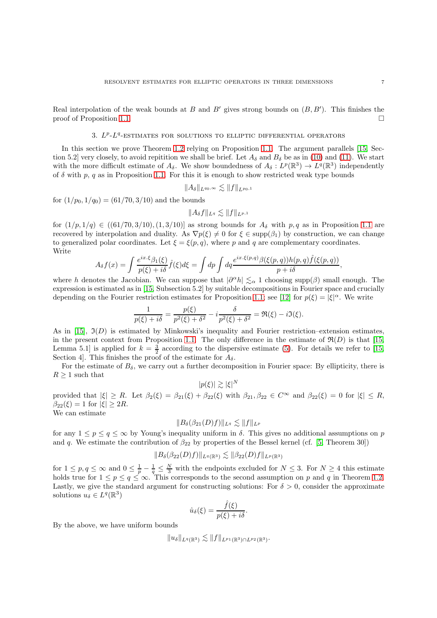Real interpolation of the weak bounds at  $B$  and  $B'$  gives strong bounds on  $(B, B')$ . This finishes the proof of Proposition [1.1.](#page-3-1)

## 3.  $L^p$ - $L^q$ -ESTIMATES FOR SOLUTIONS TO ELLIPTIC DIFFERENTIAL OPERATORS

In this section we prove Theorem [1.2](#page-3-2) relying on Proposition [1.1.](#page-3-1) The argument parallels [\[15,](#page-7-2) Section 5.2] very closely, to avoid repitition we shall be brief. Let  $A_{\delta}$  and  $B_{\delta}$  be as in [\(10\)](#page-3-3) and [\(11\)](#page-3-4). We start with the more difficult estimate of  $A_\delta$ . We show boundedness of  $A_\delta: L^p(\mathbb{R}^3) \to L^q(\mathbb{R}^3)$  independently of  $\delta$  with p, q as in Proposition [1.1.](#page-3-1) For this it is enough to show restricted weak type bounds

$$
||A_\delta||_{L^{q_0,\infty}} \lesssim ||f||_{L^{p_0,1}}
$$

for  $(1/p_0, 1/q_0) = (61/70, 3/10)$  and the bounds

$$
||A_\delta f||_{L^q}\lesssim ||f||_{L^{p,1}}
$$

for  $(1/p, 1/q) \in ((61/70, 3/10), (1, 3/10)]$  as strong bounds for  $A_{\delta}$  with p, q as in Proposition [1.1](#page-3-1) are recovered by interpolation and duality. As  $\nabla p(\xi) \neq 0$  for  $\xi \in \text{supp}(\beta_1)$  by construction, we can change to generalized polar coordinates. Let  $\xi = \xi(p, q)$ , where p and q are complementary coordinates. Write

$$
A_{\delta} f(x) = \int \frac{e^{ix.\xi} \beta_1(\xi)}{p(\xi) + i\delta} \hat{f}(\xi) d\xi = \int dp \int dq \frac{e^{ix.\xi(p,q)} \beta(\xi(p,q)) h(p,q) \hat{f}(\xi(p,q))}{p + i\delta},
$$

where h denotes the Jacobian. We can suppose that  $|\partial^{\alpha} h| \lesssim_{\alpha} 1$  choosing supp( $\beta$ ) small enough. The expression is estimated as in [\[15,](#page-7-2) Subsection 5.2] by suitable decompositions in Fourier space and crucially depending on the Fourier restriction estimates for Proposition [1.1;](#page-3-1) see [\[12\]](#page-7-7) for  $p(\xi) = |\xi|^{\alpha}$ . We write

$$
\frac{1}{p(\xi) + i\delta} = \frac{p(\xi)}{p^2(\xi) + \delta^2} - i \frac{\delta}{p^2(\xi) + \delta^2} = \Re(\xi) - i \Im(\xi).
$$

As in [\[15\]](#page-7-2),  $\mathfrak{I}(D)$  is estimated by Minkowski's inequality and Fourier restriction–extension estimates, in the present context from Proposition [1.1.](#page-3-1) The only difference in the estimate of  $\mathfrak{R}(D)$  is that [\[15,](#page-7-2) Lemma 5.1] is applied for  $k = \frac{3}{2}$  according to the dispersive estimate [\(5\)](#page-2-3). For details we refer to [\[15,](#page-7-2) Section 4. This finishes the proof of the estimate for  $A_{\delta}$ .

For the estimate of  $B_\delta$ , we carry out a further decomposition in Fourier space: By ellipticity, there is  $R \geq 1$  such that

 $|p(\xi)| \gtrsim |\xi|^N$ 

provided that  $|\xi| \ge R$ . Let  $\beta_2(\xi) = \beta_{21}(\xi) + \beta_{22}(\xi)$  with  $\beta_{21}, \beta_{22} \in C^\infty$  and  $\beta_{22}(\xi) = 0$  for  $|\xi| \le R$ ,  $\beta_{22}(\xi) = 1$  for  $|\xi| \geq 2R$ .

We can estimate

$$
||B_{\delta}(\beta_{21}(D)f)||_{L^q} \lesssim ||f||_{L^p}
$$

for any  $1 \leq p \leq q \leq \infty$  by Young's inequality uniform in  $\delta$ . This gives no additional assumptions on p and q. We estimate the contribution of  $\beta_{22}$  by properties of the Bessel kernel (cf. [\[5,](#page-7-16) Theorem 30])

$$
||B_{\delta}(\beta_{22}(D)f)||_{L^{q}(\mathbb{R}^{3})} \lesssim ||\beta_{22}(D)f||_{L^{p}(\mathbb{R}^{3})}
$$

for  $1 \leq p, q \leq \infty$  and  $0 \leq \frac{1}{p} - \frac{1}{q} \leq \frac{N}{3}$  with the endpoints excluded for  $N \leq 3$ . For  $N \geq 4$  this estimate holds true for  $1 \le p \le q \le \infty$ . This corresponds to the second assumption on p and q in Theorem [1.2.](#page-3-2) Lastly, we give the standard argument for constructing solutions: For  $\delta > 0$ , consider the approximate solutions  $u_{\delta} \in L^{q}(\mathbb{R}^{3})$ 

$$
\hat{u}_{\delta}(\xi) = \frac{\hat{f}(\xi)}{p(\xi) + i\delta}.
$$

By the above, we have uniform bounds

 $||u_{\delta}||_{L^{q}(\mathbb{R}^{3})} \lesssim ||f||_{L^{p_{1}}(\mathbb{R}^{3})\cap L^{p_{2}}(\mathbb{R}^{3})}.$